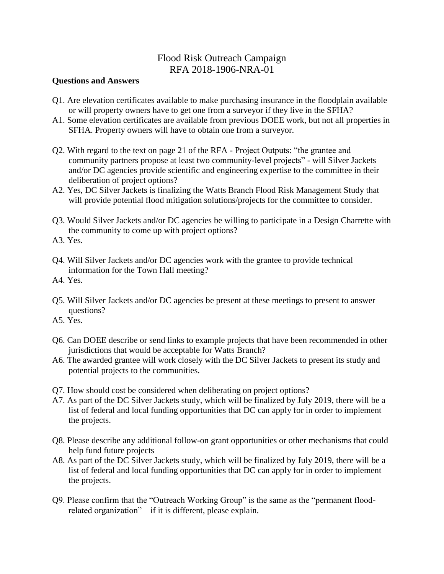## Flood Risk Outreach Campaign RFA 2018-1906-NRA-01

## **Questions and Answers**

- Q1. Are elevation certificates available to make purchasing insurance in the floodplain available or will property owners have to get one from a surveyor if they live in the SFHA?
- A1. Some elevation certificates are available from previous DOEE work, but not all properties in SFHA. Property owners will have to obtain one from a surveyor.
- Q2. With regard to the text on page 21 of the RFA Project Outputs: "the grantee and community partners propose at least two community-level projects" - will Silver Jackets and/or DC agencies provide scientific and engineering expertise to the committee in their deliberation of project options?
- A2. Yes, DC Silver Jackets is finalizing the Watts Branch Flood Risk Management Study that will provide potential flood mitigation solutions/projects for the committee to consider.
- Q3. Would Silver Jackets and/or DC agencies be willing to participate in a Design Charrette with the community to come up with project options?
- A3. Yes.
- Q4. Will Silver Jackets and/or DC agencies work with the grantee to provide technical information for the Town Hall meeting?
- A4. Yes.
- Q5. Will Silver Jackets and/or DC agencies be present at these meetings to present to answer questions?
- A5. Yes.
- Q6. Can DOEE describe or send links to example projects that have been recommended in other jurisdictions that would be acceptable for Watts Branch?
- A6. The awarded grantee will work closely with the DC Silver Jackets to present its study and potential projects to the communities.
- Q7. How should cost be considered when deliberating on project options?
- A7. As part of the DC Silver Jackets study, which will be finalized by July 2019, there will be a list of federal and local funding opportunities that DC can apply for in order to implement the projects.
- Q8. Please describe any additional follow-on grant opportunities or other mechanisms that could help fund future projects
- A8. As part of the DC Silver Jackets study, which will be finalized by July 2019, there will be a list of federal and local funding opportunities that DC can apply for in order to implement the projects.
- Q9. Please confirm that the "Outreach Working Group" is the same as the "permanent floodrelated organization" – if it is different, please explain.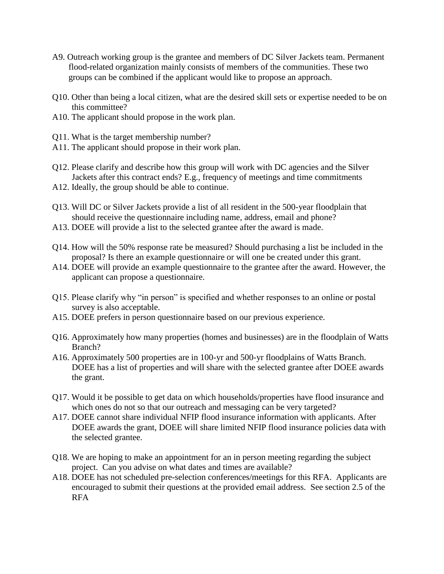- A9. Outreach working group is the grantee and members of DC Silver Jackets team. Permanent flood-related organization mainly consists of members of the communities. These two groups can be combined if the applicant would like to propose an approach.
- Q10. Other than being a local citizen, what are the desired skill sets or expertise needed to be on this committee?
- A10. The applicant should propose in the work plan.
- Q11. What is the target membership number?
- A11. The applicant should propose in their work plan.
- Q12. Please clarify and describe how this group will work with DC agencies and the Silver Jackets after this contract ends? E.g., frequency of meetings and time commitments
- A12. Ideally, the group should be able to continue.
- Q13. Will DC or Silver Jackets provide a list of all resident in the 500-year floodplain that should receive the questionnaire including name, address, email and phone?
- A13. DOEE will provide a list to the selected grantee after the award is made.
- Q14. How will the 50% response rate be measured? Should purchasing a list be included in the proposal? Is there an example questionnaire or will one be created under this grant.
- A14. DOEE will provide an example questionnaire to the grantee after the award. However, the applicant can propose a questionnaire.
- Q15. Please clarify why "in person" is specified and whether responses to an online or postal survey is also acceptable.
- A15. DOEE prefers in person questionnaire based on our previous experience.
- Q16. Approximately how many properties (homes and businesses) are in the floodplain of Watts Branch?
- A16. Approximately 500 properties are in 100-yr and 500-yr floodplains of Watts Branch. DOEE has a list of properties and will share with the selected grantee after DOEE awards the grant.
- Q17. Would it be possible to get data on which households/properties have flood insurance and which ones do not so that our outreach and messaging can be very targeted?
- A17. DOEE cannot share individual NFIP flood insurance information with applicants. After DOEE awards the grant, DOEE will share limited NFIP flood insurance policies data with the selected grantee.
- Q18. We are hoping to make an appointment for an in person meeting regarding the subject project. Can you advise on what dates and times are available?
- A18. DOEE has not scheduled pre-selection conferences/meetings for this RFA. Applicants are encouraged to submit their questions at the provided email address. See section 2.5 of the RFA